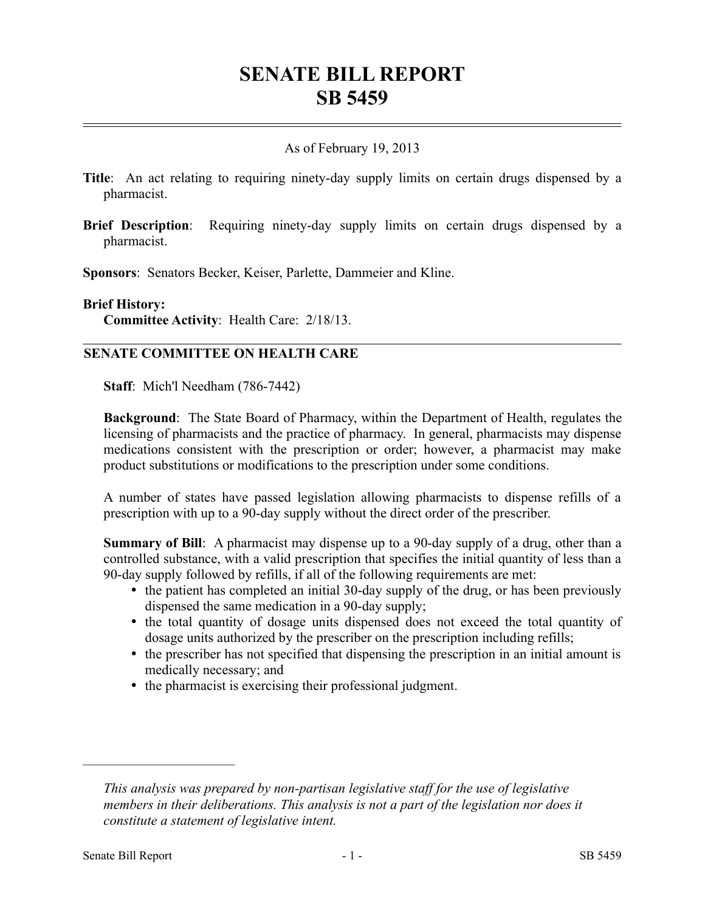# **SENATE BILL REPORT SB 5459**

## As of February 19, 2013

- **Title**: An act relating to requiring ninety-day supply limits on certain drugs dispensed by a pharmacist.
- **Brief Description**: Requiring ninety-day supply limits on certain drugs dispensed by a pharmacist.

**Sponsors**: Senators Becker, Keiser, Parlette, Dammeier and Kline.

#### **Brief History:**

**Committee Activity**: Health Care: 2/18/13.

## **SENATE COMMITTEE ON HEALTH CARE**

**Staff**: Mich'l Needham (786-7442)

**Background**: The State Board of Pharmacy, within the Department of Health, regulates the licensing of pharmacists and the practice of pharmacy. In general, pharmacists may dispense medications consistent with the prescription or order; however, a pharmacist may make product substitutions or modifications to the prescription under some conditions.

A number of states have passed legislation allowing pharmacists to dispense refills of a prescription with up to a 90-day supply without the direct order of the prescriber.

**Summary of Bill**: A pharmacist may dispense up to a 90-day supply of a drug, other than a controlled substance, with a valid prescription that specifies the initial quantity of less than a 90-day supply followed by refills, if all of the following requirements are met:

- the patient has completed an initial 30-day supply of the drug, or has been previously dispensed the same medication in a 90-day supply;
- the total quantity of dosage units dispensed does not exceed the total quantity of dosage units authorized by the prescriber on the prescription including refills;
- the prescriber has not specified that dispensing the prescription in an initial amount is medically necessary; and
- the pharmacist is exercising their professional judgment.

––––––––––––––––––––––

*This analysis was prepared by non-partisan legislative staff for the use of legislative members in their deliberations. This analysis is not a part of the legislation nor does it constitute a statement of legislative intent.*